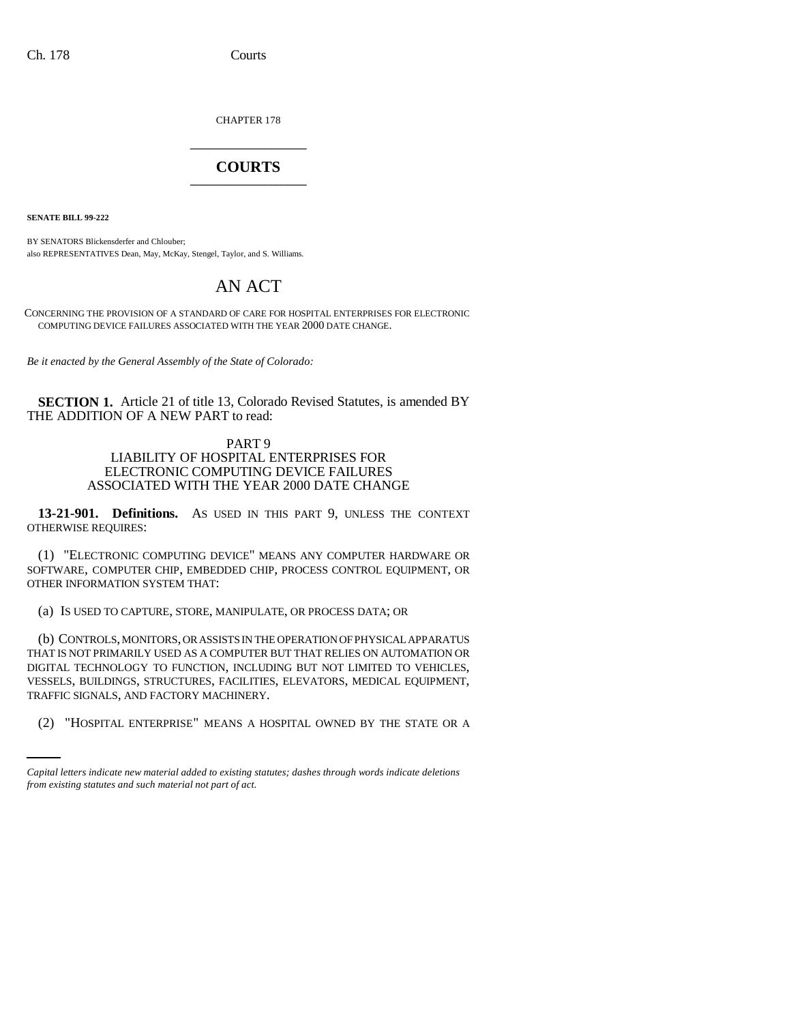CHAPTER 178 \_\_\_\_\_\_\_\_\_\_\_\_\_\_\_

## **COURTS** \_\_\_\_\_\_\_\_\_\_\_\_\_\_\_

**SENATE BILL 99-222**

BY SENATORS Blickensderfer and Chlouber; also REPRESENTATIVES Dean, May, McKay, Stengel, Taylor, and S. Williams.

## AN ACT

CONCERNING THE PROVISION OF A STANDARD OF CARE FOR HOSPITAL ENTERPRISES FOR ELECTRONIC COMPUTING DEVICE FAILURES ASSOCIATED WITH THE YEAR 2000 DATE CHANGE.

*Be it enacted by the General Assembly of the State of Colorado:*

**SECTION 1.** Article 21 of title 13, Colorado Revised Statutes, is amended BY THE ADDITION OF A NEW PART to read:

## PART 9 LIABILITY OF HOSPITAL ENTERPRISES FOR ELECTRONIC COMPUTING DEVICE FAILURES ASSOCIATED WITH THE YEAR 2000 DATE CHANGE

**13-21-901. Definitions.** AS USED IN THIS PART 9, UNLESS THE CONTEXT OTHERWISE REQUIRES:

(1) "ELECTRONIC COMPUTING DEVICE" MEANS ANY COMPUTER HARDWARE OR SOFTWARE, COMPUTER CHIP, EMBEDDED CHIP, PROCESS CONTROL EQUIPMENT, OR OTHER INFORMATION SYSTEM THAT:

(a) IS USED TO CAPTURE, STORE, MANIPULATE, OR PROCESS DATA; OR

TRAFFIC SIGNALS, AND FACTORY MACHINERY. (b) CONTROLS, MONITORS, OR ASSISTS IN THE OPERATION OF PHYSICAL APPARATUS THAT IS NOT PRIMARILY USED AS A COMPUTER BUT THAT RELIES ON AUTOMATION OR DIGITAL TECHNOLOGY TO FUNCTION, INCLUDING BUT NOT LIMITED TO VEHICLES, VESSELS, BUILDINGS, STRUCTURES, FACILITIES, ELEVATORS, MEDICAL EQUIPMENT,

(2) "HOSPITAL ENTERPRISE" MEANS A HOSPITAL OWNED BY THE STATE OR A

*Capital letters indicate new material added to existing statutes; dashes through words indicate deletions from existing statutes and such material not part of act.*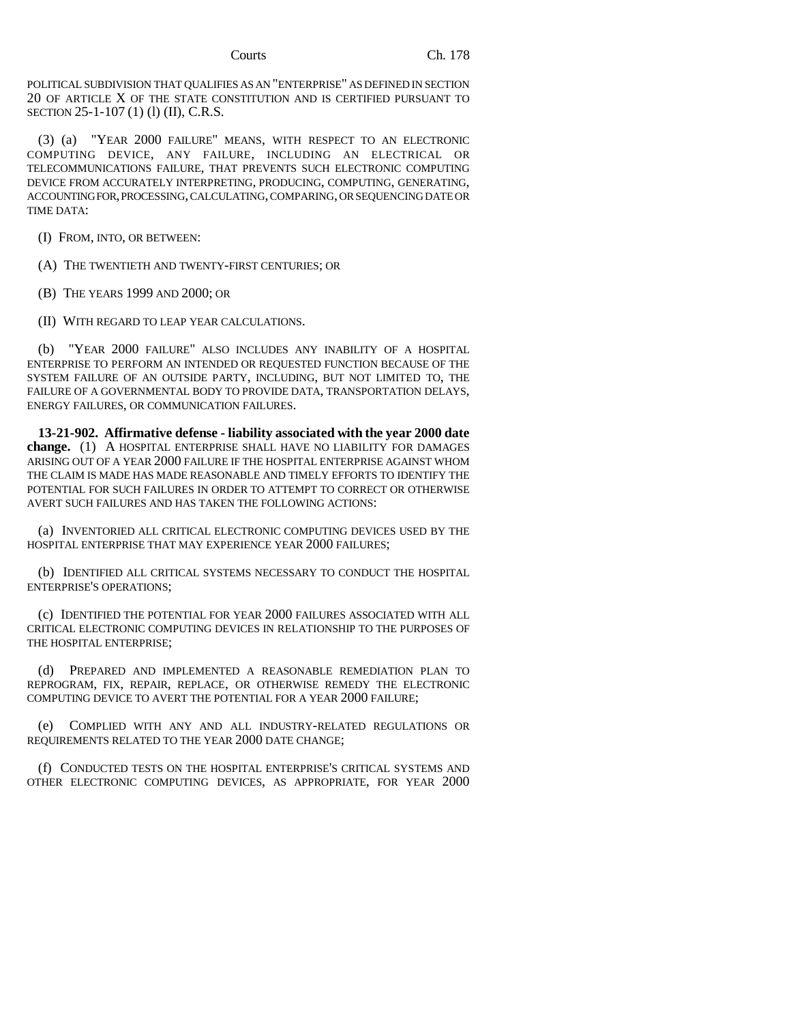POLITICAL SUBDIVISION THAT QUALIFIES AS AN "ENTERPRISE" AS DEFINED IN SECTION 20 OF ARTICLE X OF THE STATE CONSTITUTION AND IS CERTIFIED PURSUANT TO SECTION 25-1-107 (1) (l) (II), C.R.S.

(3) (a) "YEAR 2000 FAILURE" MEANS, WITH RESPECT TO AN ELECTRONIC COMPUTING DEVICE, ANY FAILURE, INCLUDING AN ELECTRICAL OR TELECOMMUNICATIONS FAILURE, THAT PREVENTS SUCH ELECTRONIC COMPUTING DEVICE FROM ACCURATELY INTERPRETING, PRODUCING, COMPUTING, GENERATING, ACCOUNTING FOR, PROCESSING, CALCULATING, COMPARING, OR SEQUENCING DATE OR TIME DATA:

(I) FROM, INTO, OR BETWEEN:

(A) THE TWENTIETH AND TWENTY-FIRST CENTURIES; OR

(B) THE YEARS 1999 AND 2000; OR

(II) WITH REGARD TO LEAP YEAR CALCULATIONS.

(b) "YEAR 2000 FAILURE" ALSO INCLUDES ANY INABILITY OF A HOSPITAL ENTERPRISE TO PERFORM AN INTENDED OR REQUESTED FUNCTION BECAUSE OF THE SYSTEM FAILURE OF AN OUTSIDE PARTY, INCLUDING, BUT NOT LIMITED TO, THE FAILURE OF A GOVERNMENTAL BODY TO PROVIDE DATA, TRANSPORTATION DELAYS, ENERGY FAILURES, OR COMMUNICATION FAILURES.

**13-21-902. Affirmative defense - liability associated with the year 2000 date change.** (1) A HOSPITAL ENTERPRISE SHALL HAVE NO LIABILITY FOR DAMAGES ARISING OUT OF A YEAR 2000 FAILURE IF THE HOSPITAL ENTERPRISE AGAINST WHOM THE CLAIM IS MADE HAS MADE REASONABLE AND TIMELY EFFORTS TO IDENTIFY THE POTENTIAL FOR SUCH FAILURES IN ORDER TO ATTEMPT TO CORRECT OR OTHERWISE AVERT SUCH FAILURES AND HAS TAKEN THE FOLLOWING ACTIONS:

(a) INVENTORIED ALL CRITICAL ELECTRONIC COMPUTING DEVICES USED BY THE HOSPITAL ENTERPRISE THAT MAY EXPERIENCE YEAR 2000 FAILURES;

(b) IDENTIFIED ALL CRITICAL SYSTEMS NECESSARY TO CONDUCT THE HOSPITAL ENTERPRISE'S OPERATIONS;

(c) IDENTIFIED THE POTENTIAL FOR YEAR 2000 FAILURES ASSOCIATED WITH ALL CRITICAL ELECTRONIC COMPUTING DEVICES IN RELATIONSHIP TO THE PURPOSES OF THE HOSPITAL ENTERPRISE;

(d) PREPARED AND IMPLEMENTED A REASONABLE REMEDIATION PLAN TO REPROGRAM, FIX, REPAIR, REPLACE, OR OTHERWISE REMEDY THE ELECTRONIC COMPUTING DEVICE TO AVERT THE POTENTIAL FOR A YEAR 2000 FAILURE;

(e) COMPLIED WITH ANY AND ALL INDUSTRY-RELATED REGULATIONS OR REQUIREMENTS RELATED TO THE YEAR 2000 DATE CHANGE;

(f) CONDUCTED TESTS ON THE HOSPITAL ENTERPRISE'S CRITICAL SYSTEMS AND OTHER ELECTRONIC COMPUTING DEVICES, AS APPROPRIATE, FOR YEAR 2000